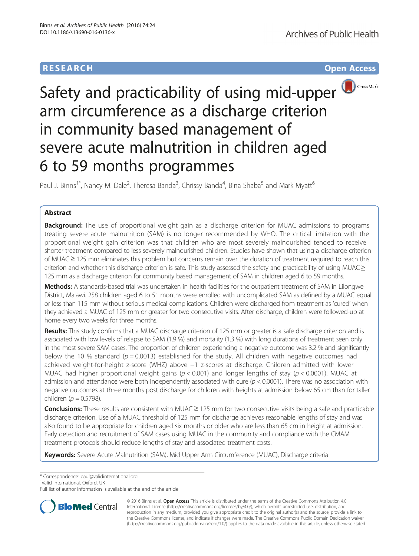## **RESEARCH RESEARCH** *CHECKER CHECKER CHECKER CHECKER CHECKER CHECKER CHECKER CHECKER CHECKER CHECKER CHECKER*



# Safety and practicability of using mid-upper arm circumference as a discharge criterion in community based management of severe acute malnutrition in children aged 6 to 59 months programmes

Paul J. Binns<sup>1\*</sup>, Nancy M. Dale<sup>2</sup>, Theresa Banda<sup>3</sup>, Chrissy Banda<sup>4</sup>, Bina Shaba<sup>5</sup> and Mark Myatt<sup>6</sup>

## Abstract

**Background:** The use of proportional weight gain as a discharge criterion for MUAC admissions to programs treating severe acute malnutrition (SAM) is no longer recommended by WHO. The critical limitation with the proportional weight gain criterion was that children who are most severely malnourished tended to receive shorter treatment compared to less severely malnourished children. Studies have shown that using a discharge criterion of MUAC ≥ 125 mm eliminates this problem but concerns remain over the duration of treatment required to reach this criterion and whether this discharge criterion is safe. This study assessed the safety and practicability of using MUAC  $\geq$ 125 mm as a discharge criterion for community based management of SAM in children aged 6 to 59 months.

Methods: A standards-based trial was undertaken in health facilities for the outpatient treatment of SAM in Lilongwe District, Malawi. 258 children aged 6 to 51 months were enrolled with uncomplicated SAM as defined by a MUAC equal or less than 115 mm without serious medical complications. Children were discharged from treatment as 'cured' when they achieved a MUAC of 125 mm or greater for two consecutive visits. After discharge, children were followed-up at home every two weeks for three months.

Results: This study confirms that a MUAC discharge criterion of 125 mm or greater is a safe discharge criterion and is associated with low levels of relapse to SAM (1.9 %) and mortality (1.3 %) with long durations of treatment seen only in the most severe SAM cases. The proportion of children experiencing a negative outcome was 3.2 % and significantly below the 10 % standard ( $p = 0.0013$ ) established for the study. All children with negative outcomes had achieved weight-for-height z-score (WHZ) above −1 z-scores at discharge. Children admitted with lower MUAC had higher proportional weight gains ( $p < 0.001$ ) and longer lengths of stay ( $p < 0.0001$ ). MUAC at admission and attendance were both independently associated with cure ( $p < 0.0001$ ). There was no association with negative outcomes at three months post discharge for children with heights at admission below 65 cm than for taller children ( $p = 0.5798$ ).

**Conclusions:** These results are consistent with MUAC  $\geq$  125 mm for two consecutive visits being a safe and practicable discharge criterion. Use of a MUAC threshold of 125 mm for discharge achieves reasonable lengths of stay and was also found to be appropriate for children aged six months or older who are less than 65 cm in height at admission. Early detection and recruitment of SAM cases using MUAC in the community and compliance with the CMAM treatment protocols should reduce lengths of stay and associated treatment costs.

Keywords: Severe Acute Malnutrition (SAM), Mid Upper Arm Circumference (MUAC), Discharge criteria

\* Correspondence: [paul@validinternational.org](mailto:paul@validinternational.org) <sup>1</sup>

Valid International, Oxford, UK

Full list of author information is available at the end of the article



© 2016 Binns et al. Open Access This article is distributed under the terms of the Creative Commons Attribution 4.0 International License [\(http://creativecommons.org/licenses/by/4.0/](http://creativecommons.org/licenses/by/4.0/)), which permits unrestricted use, distribution, and reproduction in any medium, provided you give appropriate credit to the original author(s) and the source, provide a link to the Creative Commons license, and indicate if changes were made. The Creative Commons Public Domain Dedication waiver [\(http://creativecommons.org/publicdomain/zero/1.0/](http://creativecommons.org/publicdomain/zero/1.0/)) applies to the data made available in this article, unless otherwise stated.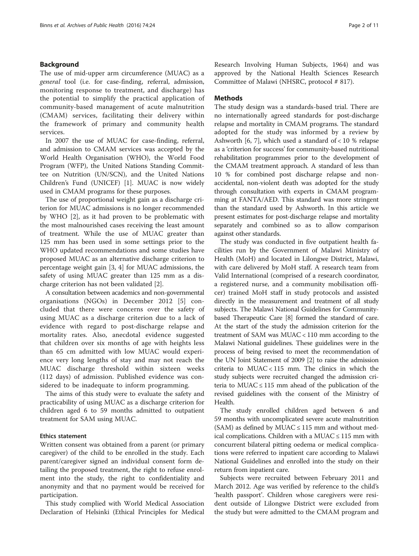#### Background

The use of mid-upper arm circumference (MUAC) as a general tool (i.e. for case-finding, referral, admission, monitoring response to treatment, and discharge) has the potential to simplify the practical application of community-based management of acute malnutrition (CMAM) services, facilitating their delivery within the framework of primary and community health services.

In 2007 the use of MUAC for case-finding, referral, and admission to CMAM services was accepted by the World Health Organisation (WHO), the World Food Program (WFP), the United Nations Standing Committee on Nutrition (UN/SCN), and the United Nations Children's Fund (UNICEF) [[1\]](#page-10-0). MUAC is now widely used in CMAM programs for these purposes.

The use of proportional weight gain as a discharge criterion for MUAC admissions is no longer recommended by WHO [\[2](#page-10-0)], as it had proven to be problematic with the most malnourished cases receiving the least amount of treatment. While the use of MUAC greater than 125 mm has been used in some settings prior to the WHO updated recommendations and some studies have proposed MUAC as an alternative discharge criterion to percentage weight gain [[3, 4](#page-10-0)] for MUAC admissions, the safety of using MUAC greater than 125 mm as a discharge criterion has not been validated [\[2](#page-10-0)].

A consultation between academics and non-governmental organisations (NGOs) in December 2012 [[5](#page-10-0)] concluded that there were concerns over the safety of using MUAC as a discharge criterion due to a lack of evidence with regard to post-discharge relapse and mortality rates. Also, anecdotal evidence suggested that children over six months of age with heights less than 65 cm admitted with low MUAC would experience very long lengths of stay and may not reach the MUAC discharge threshold within sixteen weeks (112 days) of admission. Published evidence was considered to be inadequate to inform programming.

The aims of this study were to evaluate the safety and practicability of using MUAC as a discharge criterion for children aged 6 to 59 months admitted to outpatient treatment for SAM using MUAC.

#### Ethics statement

Written consent was obtained from a parent (or primary caregiver) of the child to be enrolled in the study. Each parent/caregiver signed an individual consent form detailing the proposed treatment, the right to refuse enrolment into the study, the right to confidentiality and anonymity and that no payment would be received for participation.

This study complied with World Medical Association Declaration of Helsinki (Ethical Principles for Medical Research Involving Human Subjects, 1964) and was approved by the National Health Sciences Research Committee of Malawi (NHSRC, protocol # 817).

#### **Methods**

The study design was a standards-based trial. There are no internationally agreed standards for post-discharge relapse and mortality in CMAM programs. The standard adopted for the study was informed by a review by Ashworth  $[6, 7]$  $[6, 7]$  $[6, 7]$ , which used a standard of < 10 % relapse as a 'criterion for success' for community-based nutritional rehabilitation programmes prior to the development of the CMAM treatment approach. A standard of less than 10 % for combined post discharge relapse and nonaccidental, non-violent death was adopted for the study through consultation with experts in CMAM programming at FANTA/AED. This standard was more stringent than the standard used by Ashworth. In this article we present estimates for post-discharge relapse and mortality separately and combined so as to allow comparison against other standards.

The study was conducted in five outpatient health facilities run by the Government of Malawi Ministry of Health (MoH) and located in Lilongwe District, Malawi, with care delivered by MoH staff. A research team from Valid International (comprised of a research coordinator, a registered nurse, and a community mobilisation officer) trained MoH staff in study protocols and assisted directly in the measurement and treatment of all study subjects. The Malawi National Guidelines for Communitybased Therapeutic Care [[8](#page-10-0)] formed the standard of care. At the start of the study the admission criterion for the treatment of SAM was MUAC < 110 mm according to the Malawi National guidelines. These guidelines were in the process of being revised to meet the recommendation of the UN Joint Statement of 2009 [\[2](#page-10-0)] to raise the admission criteria to MUAC < 115 mm. The clinics in which the study subjects were recruited changed the admission criteria to MUAC  $\leq$  115 mm ahead of the publication of the revised guidelines with the consent of the Ministry of Health.

The study enrolled children aged between 6 and 59 months with uncomplicated severe acute malnutrition (SAM) as defined by MUAC  $\leq$  115 mm and without medical complications. Children with a MUAC  $\leq$  115 mm with concurrent bilateral pitting oedema or medical complications were referred to inpatient care according to Malawi National Guidelines and enrolled into the study on their return from inpatient care.

Subjects were recruited between February 2011 and March 2012. Age was verified by reference to the child's 'health passport'. Children whose caregivers were resident outside of Lilongwe District were excluded from the study but were admitted to the CMAM program and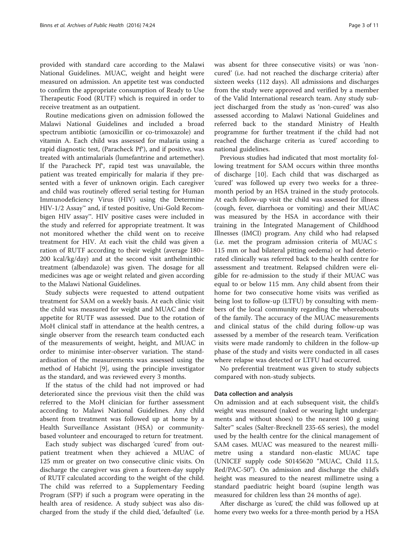provided with standard care according to the Malawi National Guidelines. MUAC, weight and height were measured on admission. An appetite test was conducted to confirm the appropriate consumption of Ready to Use Therapeutic Food (RUTF) which is required in order to receive treatment as an outpatient.

Routine medications given on admission followed the Malawi National Guidelines and included a broad spectrum antibiotic (amoxicillin or co-trimoxazole) and vitamin A. Each child was assessed for malaria using a rapid diagnostic test, (Paracheck Pf®), and if positive, was treated with antimalarials (lumefantrine and artemether). If the Paracheck Pf®, rapid test was unavailable, the patient was treated empirically for malaria if they presented with a fever of unknown origin. Each caregiver and child was routinely offered serial testing for Human Immunodeficiency Virus (HIV) using the Determine HIV-1/2 Assay™ and, if tested positive, Uni-Gold Recombigen HIV assay™. HIV positive cases were included in the study and referred for appropriate treatment. It was not monitored whether the child went on to receive treatment for HIV. At each visit the child was given a ration of RUTF according to their weight (average 180– 200 kcal/kg/day) and at the second visit anthelminthic treatment (albendazole) was given. The dosage for all medicines was age or weight related and given according to the Malawi National Guidelines.

Study subjects were requested to attend outpatient treatment for SAM on a weekly basis. At each clinic visit the child was measured for weight and MUAC and their appetite for RUTF was assessed. Due to the rotation of MoH clinical staff in attendance at the health centres, a single observer from the research team conducted each of the measurements of weight, height, and MUAC in order to minimise inter-observer variation. The standardisation of the measurements was assessed using the method of Habicht [[9\]](#page-10-0), using the principle investigator as the standard, and was reviewed every 3 months.

If the status of the child had not improved or had deteriorated since the previous visit then the child was referred to the MoH clinician for further assessment according to Malawi National Guidelines. Any child absent from treatment was followed up at home by a Health Surveillance Assistant (HSA) or communitybased volunteer and encouraged to return for treatment.

Each study subject was discharged 'cured' from outpatient treatment when they achieved a MUAC of 125 mm or greater on two consecutive clinic visits. On discharge the caregiver was given a fourteen-day supply of RUTF calculated according to the weight of the child. The child was referred to a Supplementary Feeding Program (SFP) if such a program were operating in the health area of residence. A study subject was also discharged from the study if the child died, 'defaulted' (i.e.

was absent for three consecutive visits) or was 'noncured' (i.e. had not reached the discharge criteria) after sixteen weeks (112 days). All admissions and discharges from the study were approved and verified by a member of the Valid International research team. Any study subject discharged from the study as 'non-cured' was also assessed according to Malawi National Guidelines and referred back to the standard Ministry of Health programme for further treatment if the child had not reached the discharge criteria as 'cured' according to national guidelines.

Previous studies had indicated that most mortality following treatment for SAM occurs within three months of discharge [[10\]](#page-10-0). Each child that was discharged as 'cured' was followed up every two weeks for a threemonth period by an HSA trained in the study protocols. At each follow-up visit the child was assessed for illness (cough, fever, diarrhoea or vomiting) and their MUAC was measured by the HSA in accordance with their training in the Integrated Management of Childhood Illnesses (IMCI) program. Any child who had relapsed (i.e. met the program admission criteria of MUAC  $\leq$ 115 mm or had bilateral pitting oedema) or had deteriorated clinically was referred back to the health centre for assessment and treatment. Relapsed children were eligible for re-admission to the study if their MUAC was equal to or below 115 mm. Any child absent from their home for two consecutive home visits was verified as being lost to follow-up (LTFU) by consulting with members of the local community regarding the whereabouts of the family. The accuracy of the MUAC measurements and clinical status of the child during follow-up was assessed by a member of the research team. Verification visits were made randomly to children in the follow-up phase of the study and visits were conducted in all cases where relapse was detected or LTFU had occurred.

No preferential treatment was given to study subjects compared with non-study subjects.

#### Data collection and analysis

On admission and at each subsequent visit, the child's weight was measured (naked or wearing light undergarments and without shoes) to the nearest 100 g using Salter™ scales (Salter-Brecknell 235-6S series), the model used by the health centre for the clinical management of SAM cases. MUAC was measured to the nearest millimetre using a standard non-elastic MUAC tape (UNICEF supply code S0145620 "MUAC, Child 11.5, Red/PAC-50"). On admission and discharge the child's height was measured to the nearest millimetre using a standard paediatric height board (supine length was measured for children less than 24 months of age).

After discharge as 'cured, the child was followed up at ' home every two weeks for a three-month period by a HSA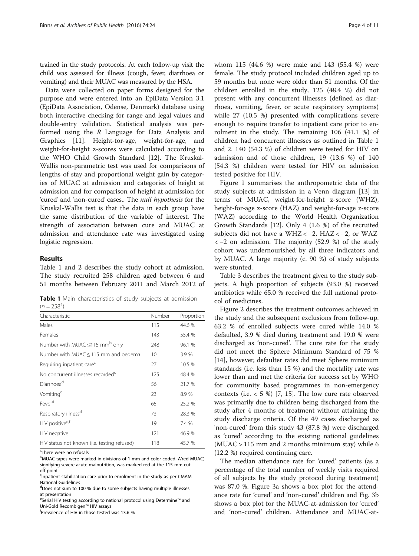trained in the study protocols. At each follow-up visit the child was assessed for illness (cough, fever, diarrhoea or vomiting) and their MUAC was measured by the HSA.

Data were collected on paper forms designed for the purpose and were entered into an EpiData Version 3.1 (EpiData Association, Odense, Denmark) database using both interactive checking for range and legal values and double-entry validation. Statistical analysis was performed using the  $R$  Language for Data Analysis and Graphics [[11\]](#page-10-0). Height-for-age, weight-for-age, and weight-for-height z-scores were calculated according to the WHO Child Growth Standard [\[12\]](#page-10-0). The Kruskal-Wallis non-parametric test was used for comparisons of lengths of stay and proportional weight gain by categories of MUAC at admission and categories of height at admission and for comparison of height at admission for 'cured' and 'non-cured' cases.. The null hypothesis for the Kruskal-Wallis test is that the data in each group have the same distribution of the variable of interest. The strength of association between cure and MUAC at admission and attendance rate was investigated using logistic regression.

#### Results

Table 1 and [2](#page-4-0) describes the study cohort at admission. The study recruited 258 children aged between 6 and 51 months between February 2011 and March 2012 of

Table 1 Main characteristics of study subjects at admission  $(n = 258^{\circ})$ 

| Characteristic                                   | Number | Proportion |
|--------------------------------------------------|--------|------------|
| Males                                            | 115    | 44.6 %     |
| Females                                          | 143    | 55.4 %     |
| Number with MUAC $\leq$ 115 mm <sup>b</sup> only | 248    | 96.1 %     |
| Number with MUAC $\leq$ 115 mm and oedema        | 10     | 3.9 %      |
| Requiring inpatient care <sup>c</sup>            | 27     | 10.5 %     |
| No concurrent illnesses recorded <sup>d</sup>    | 125    | 48.4 %     |
| Diarrhoea <sup>d</sup>                           | 56     | 21.7 %     |
| Vomiting <sup>d</sup>                            | 23     | 8.9%       |
| Fever <sup>d</sup>                               | 65     | 25.2 %     |
| Respiratory illness <sup>d</sup>                 | 73     | 28.3 %     |
| HIV positive <sup>e,f</sup>                      | 19     | 7.4 %      |
| HIV negative                                     | 121    | 46.9 %     |
| HIV status not known (i.e. testing refused)      | 118    | 45.7 %     |

<sup>a</sup>There were no refusals

<sup>b</sup>MUAC tapes were marked in divisions of 1 mm and color-coded. A'red MUAC', signifying severe acute malnutrition, was marked red at the 115 mm cut off point

<sup>d</sup>Does not sum to 100 % due to some subjects having multiple illnesses at presentation

e<br>Serial HIV testing according to national protocol using Determine™ and Uni-Gold Recombigen™ HIV assays

Prevalence of HIV in those tested was 13.6 %

whom 115 (44.6 %) were male and 143 (55.4 %) were female. The study protocol included children aged up to 59 months but none were older than 51 months. Of the children enrolled in the study, 125 (48.4 %) did not present with any concurrent illnesses (defined as diarrhoea, vomiting, fever, or acute respiratory symptoms) while 27 (10.5 %) presented with complications severe enough to require transfer to inpatient care prior to enrolment in the study. The remaining 106 (41.1 %) of children had concurrent illnesses as outlined in Table 1 and [2](#page-4-0). 140 (54.3 %) of children were tested for HIV on admission and of those children, 19 (13.6 %) of 140 (54.3 %) children were tested for HIV on admission tested positive for HIV.

Figure [1](#page-4-0) summarises the anthropometric data of the study subjects at admission in a Venn diagram [\[13\]](#page-10-0) in terms of MUAC, weight-for-height z-score (WHZ), height-for-age z-score (HAZ) and weight-for-age z-score (WAZ) according to the World Health Organization Growth Standards [[12](#page-10-0)]. Only 4 (1.6 %) of the recruited subjects did not have a WHZ < −2, HAZ < −2, or WAZ < −2 on admission. The majority (52.9 %) of the study cohort was undernourished by all three indicators and by MUAC. A large majority (c. 90 %) of study subjects were stunted.

Table [3](#page-4-0) describes the treatment given to the study subjects. A high proportion of subjects (93.0 %) received antibiotics while 65.0 % received the full national protocol of medicines.

Figure [2](#page-5-0) describes the treatment outcomes achieved in the study and the subsequent exclusions from follow-up. 63.2 % of enrolled subjects were cured while 14.0 % defaulted, 3.9 % died during treatment and 19.0 % were discharged as 'non-cured'. The cure rate for the study did not meet the Sphere Minimum Standard of 75 % [[14\]](#page-10-0), however, defaulter rates did meet Sphere minimum standards (i.e. less than 15 %) and the mortality rate was lower than and met the criteria for success set by WHO for community based programmes in non-emergency contexts (i.e.  $<$  5 %) [[7](#page-10-0), [15\]](#page-10-0). The low cure rate observed was primarily due to children being discharged from the study after 4 months of treatment without attaining the study discharge criteria. Of the 49 cases discharged as 'non-cured' from this study 43 (87.8 %) were discharged as 'cured' according to the existing national guidelines  $(MUAC > 115$  mm and 2 months minimum stay) while 6 (12.2 %) required continuing care.

The median attendance rate for 'cured' patients (as a percentage of the total number of weekly visits required of all subjects by the study protocol during treatment) was 87.0 %. Figure [3a](#page-6-0) shows a box plot for the attendance rate for 'cured' and 'non-cured' children and Fig. [3b](#page-6-0) shows a box plot for the MUAC-at-admission for 'cured' and 'non-cured' children. Attendance and MUAC-at-

<sup>&</sup>lt;sup>c</sup>Inpatient stabilisation care prior to enrolment in the study as per CMAM National Guidelines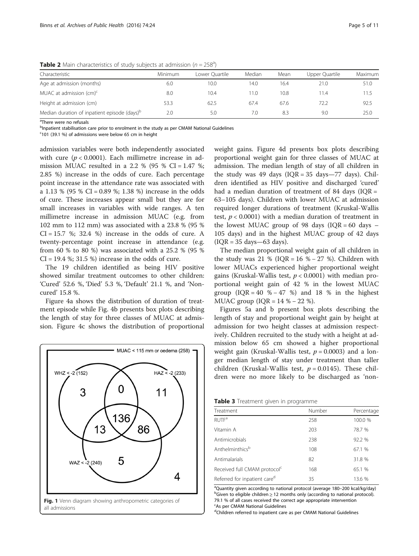| Characteristic                                           | Minimum | Lower Ouartile | Median | Mean | Upper Quartile | Maximum |
|----------------------------------------------------------|---------|----------------|--------|------|----------------|---------|
| Age at admission (months)                                | 6.0     | 10.0           | 14.0   | 16.4 | 21.0           | 51.0    |
| MUAC at admission $(cm)^c$                               | 8.0     | 10.4           | 1.0    | 10.8 | 11.4           | 11.5    |
| Height at admission (cm)                                 | 53.3    | 62.5           | 67.4   | 67.6 | 72.2           | 92.5    |
| Median duration of inpatient episode (days) <sup>p</sup> | 2.0     | 5.0            | 7.0    | 8.3  | 9.0            | 25.0    |

<span id="page-4-0"></span>**Table 2** Main characteristics of study subjects at admission  $(n = 258^a)$ 

<sup>a</sup>There were no refusals

<sup>b</sup>Inpatient stabilisation care prior to enrolment in the study as per CMAM National Guidelines

<sup>c</sup>101 (39.1 %) of admissions were below 65 cm in height

admission variables were both independently associated with cure  $(p < 0.0001)$ . Each millimetre increase in admission MUAC resulted in a 2.2 % (95 % CI = 1.47 %; 2.85 %) increase in the odds of cure. Each percentage point increase in the attendance rate was associated with a 1.13 % (95 % CI = 0.89 %; 1.38 %) increase in the odds of cure. These increases appear small but they are for small increases in variables with wide ranges. A ten millimetre increase in admission MUAC (e.g. from 102 mm to 112 mm) was associated with a 23.8 % (95 %  $CI = 15.7$  %; 32.4 %) increase in the odds of cure. A twenty-percentage point increase in attendance (e.g. from 60 % to 80 %) was associated with a 25.2 % (95 %  $CI = 19.4$  %; 31.5 %) increase in the odds of cure.

The 19 children identified as being HIV positive showed similar treatment outcomes to other children: 'Cured' 52.6 %, 'Died' 5.3 %, 'Default' 21.1 %, and 'Noncured' 15.8 %.

Figure [4a](#page-7-0) shows the distribution of duration of treatment episode while Fig. [4b](#page-7-0) presents box plots describing the length of stay for three classes of MUAC at admission. Figure [4c](#page-7-0) shows the distribution of proportional



weight gains. Figure [4d](#page-7-0) presents box plots describing proportional weight gain for three classes of MUAC at admission. The median length of stay of all children in the study was 49 days  $(IQR = 35 \text{ days} - 77 \text{ days})$ . Children identified as HIV positive and discharged 'cured' had a median duration of treatment of 84 days ( $IQR =$ 63–105 days). Children with lower MUAC at admission required longer durations of treatment (Kruskal-Wallis test,  $p < 0.0001$ ) with a median duration of treatment in the lowest MUAC group of 98 days  $(IQR = 60$  days  $-$ 105 days) and in the highest MUAC group of 42 days  $( IQR = 35 \text{ days} - 63 \text{ days}).$ 

The median proportional weight gain of all children in the study was 21 % ( $IQR = 16$  % – 27 %). Children with lower MUACs experienced higher proportional weight gains (Kruskal-Wallis test,  $p < 0.0001$ ) with median proportional weight gain of 42 % in the lowest MUAC group  $(IOR = 40 % - 47 %)$  and 18 % in the highest MUAC group ( $IQR = 14 % - 22 %$ ).

Figures [5a](#page-8-0) and [b](#page-8-0) present box plots describing the length of stay and proportional weight gain by height at admission for two height classes at admission respectively. Children recruited to the study with a height at admission below 65 cm showed a higher proportional weight gain (Kruskal-Wallis test,  $p = 0.0003$ ) and a longer median length of stay under treatment than taller children (Kruskal-Wallis test,  $p = 0.0145$ ). These children were no more likely to be discharged as 'non-

| Treatment                                | Number | Percentage |  |  |
|------------------------------------------|--------|------------|--|--|
| <b>RUTF<sup>a</sup></b>                  | 258    | 100.0 %    |  |  |
| Vitamin A                                | 203    | 78.7 %     |  |  |
| Antimicrobials                           | 238    | 92.2 %     |  |  |
| Anthelminthicsb                          | 108    | 67.1 %     |  |  |
| Antimalarials                            | 82     | 31.8 %     |  |  |
| Received full CMAM protocol <sup>c</sup> | 168    | 65.1 %     |  |  |
| Referred for inpatient care <sup>d</sup> | 35     | 13.6 %     |  |  |

<sup>a</sup>Quantity given according to national protocol (average 180–200 kcal/kg/day)<br><sup>b</sup>Given to eligible children > 12 months only (according to national protocol)  $^{b}$ Given to eligible children  $\geq$  12 months only (according to national protocol). 79.1 % of all cases received the correct age appropriate intervention c As per CMAM National Guidelines

<sup>d</sup>Children referred to inpatient care as per CMAM National Guidelines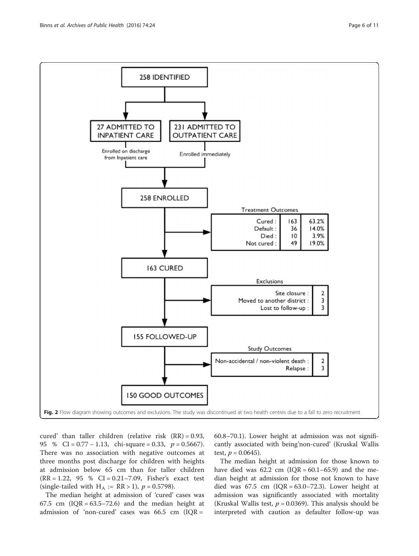<span id="page-5-0"></span>

cured' than taller children (relative risk  $(RR) = 0.93$ , 95 % CI =  $0.77 - 1.13$ , chi-square = 0.33,  $p = 0.5667$ ). There was no association with negative outcomes at three months post discharge for children with heights at admission below 65 cm than for taller children (RR = 1.22, 95 % CI = 0.21–7.09, Fisher's exact test (single-tailed with H<sub>A</sub> :=  $RR > 1$ ),  $p = 0.5798$ ).

The median height at admission of 'cured' cases was 67.5 cm  $(IQR = 63.5 - 72.6)$  and the median height at admission of 'non-cured' cases was  $66.5$  cm (IQR =

60.8–70.1). Lower height at admission was not significantly associated with being'non-cured' (Kruskal Wallis test,  $p = 0.0645$ ).

The median height at admission for those known to have died was  $62.2$  cm  $(IQR = 60.1-65.9)$  and the median height at admission for those not known to have died was  $67.5 \text{ cm}$  (IQR =  $63.0-72.3$ ). Lower height at admission was significantly associated with mortality (Kruskal Wallis test,  $p = 0.0369$ ). This analysis should be interpreted with caution as defaulter follow-up was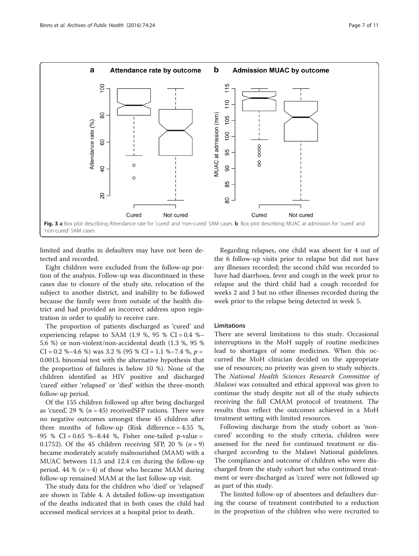<span id="page-6-0"></span>

limited and deaths in defaulters may have not been detected and recorded.

Eight children were excluded from the follow-up portion of the analysis. Follow-up was discontinued in these cases due to closure of the study site, relocation of the subject to another district, and inability to be followed because the family were from outside of the health district and had provided an incorrect address upon registration in order to qualify to receive care.

The proportion of patients discharged as 'cured' and experiencing relapse to SAM  $(1.9 \% 95 \% CI = 0.4 \% -$ 5.6 %) or non-violent/non-accidental death (1.3 %, 95 %  $CI = 0.2$  %–4.6 %) was 3.2 % (95 %  $CI = 1.1$  %–7.4 %,  $p =$ 0.0013, binomial test with the alternative hypothesis that the proportion of failures is below 10 %). None of the children identified as HIV positive and discharged 'cured' either 'relapsed' or 'died' within the three-month follow-up period.

Of the 155 children followed up after being discharged as 'cured', 29 % ( $n = 45$ ) receivedSFP rations. There were no negative outcomes amongst these 45 children after three months of follow-up (Risk difference  $= 4.55$  %, 95 % CI = 0.65 %–8.44 %, Fisher one-tailed p-value = 0.1752). Of the 45 children receiving SFP, 20 %  $(n = 9)$ became moderately acutely malnourished (MAM) with a MUAC between 11.5 and 12.4 cm during the follow-up period. 44 % ( $n = 4$ ) of those who became MAM during follow-up remained MAM at the last follow-up visit.

The study data for the children who 'died' or 'relapsed' are shown in Table [4.](#page-8-0) A detailed follow-up investigation of the deaths indicated that in both cases the child had accessed medical services at a hospital prior to death.

Regarding relapses, one child was absent for 4 out of the 6 follow-up visits prior to relapse but did not have any illnesses recorded; the second child was recorded to have had diarrhoea, fever and cough in the week prior to relapse and the third child had a cough recorded for weeks 2 and 3 but no other illnesses recorded during the week prior to the relapse being detected in week 5.

#### **Limitations**

There are several limitations to this study. Occasional interruptions in the MoH supply of routine medicines lead to shortages of some medicines. When this occurred the MoH clinician decided on the appropriate use of resources; no priority was given to study subjects. The National Health Sciences Research Committee of Malawi was consulted and ethical approval was given to continue the study despite not all of the study subjects receiving the full CMAM protocol of treatment. The results thus reflect the outcomes achieved in a MoH treatment setting with limited resources.

Following discharge from the study cohort as 'noncured' according to the study criteria, children were assessed for the need for continued treatment or discharged according to the Malawi National guidelines. The compliance and outcome of children who were discharged from the study cohort but who continued treatment or were discharged as 'cured' were not followed up as part of this study.

The limited follow-up of absentees and defaulters during the course of treatment contributed to a reduction in the proportion of the children who were recruited to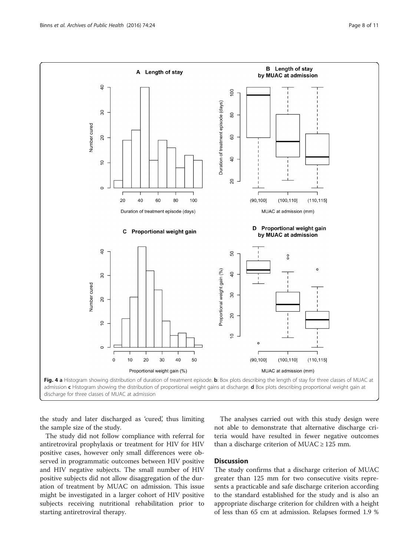<span id="page-7-0"></span>

discharge for three classes of MUAC at admission

the study and later discharged as 'cured', thus limiting the sample size of the study.

The study did not follow compliance with referral for antiretroviral prophylaxis or treatment for HIV for HIV positive cases, however only small differences were observed in programmatic outcomes between HIV positive and HIV negative subjects. The small number of HIV positive subjects did not allow disaggregation of the duration of treatment by MUAC on admission. This issue might be investigated in a larger cohort of HIV positive subjects receiving nutritional rehabilitation prior to starting antiretroviral therapy.

The analyses carried out with this study design were not able to demonstrate that alternative discharge criteria would have resulted in fewer negative outcomes than a discharge criterion of MUAC  $\geq$  125 mm.

#### **Discussion**

The study confirms that a discharge criterion of MUAC greater than 125 mm for two consecutive visits represents a practicable and safe discharge criterion according to the standard established for the study and is also an appropriate discharge criterion for children with a height of less than 65 cm at admission. Relapses formed 1.9 %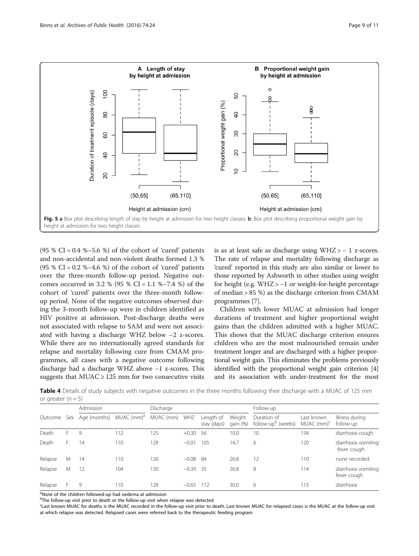<span id="page-8-0"></span>

(95 % CI =  $0.4$  % $-5.6$  %) of the cohort of 'cured' patients and non-accidental and non-violent deaths formed 1.3 %  $(95 % CI = 0.2 % -4.6 %)$  of the cohort of 'cured' patients over the three-month follow-up period. Negative outcomes occurred in 3.2 % (95 % CI = 1.1 %–7.4 %) of the cohort of 'cured' patients over the three-month followup period. None of the negative outcomes observed during the 3-month follow-up were in children identified as HIV positive at admission. Post-discharge deaths were not associated with relapse to SAM and were not associated with having a discharge WHZ below −2 z-scores. While there are no internationally agreed standards for relapse and mortality following cure from CMAM programmes, all cases with a negative outcome following discharge had a discharge WHZ above −1 z-scores. This suggests that  $MUAC \ge 125$  mm for two consecutive visits is as at least safe as discharge using WHZ > − 1 z-scores. The rate of relapse and mortality following discharge as 'cured' reported in this study are also similar or lower to those reported by Ashworth in other studies using weight for height (e.g. WHZ > −1 or weight-for-height percentage of median > 85 %) as the discharge criterion from CMAM programmes [[7\]](#page-10-0).

Children with lower MUAC at admission had longer durations of treatment and higher proportional weight gains than the children admitted with a higher MUAC. This shows that the MUAC discharge criterion ensures children who are the most malnourished remain under treatment longer and are discharged with a higher proportional weight gain. This eliminates the problems previously identified with the proportional weight gain criterion [[4](#page-10-0)] and its association with under-treatment for the most

Table 4 Details of study subjects with negative outcomes in the three months following their discharge with a MUAC of 125 mm or greater  $(n = 5)$ 

|         |            | Admission    |                        | Discharge |            |                          | Follow-up            |                                               |                                        |                                   |
|---------|------------|--------------|------------------------|-----------|------------|--------------------------|----------------------|-----------------------------------------------|----------------------------------------|-----------------------------------|
| Outcome | <b>Sex</b> | Age (months) | MUAC (mm) <sup>a</sup> | MUAC (mm) | WHZ        | Length of<br>stay (days) | Weight<br>gain $(%)$ | Duration of<br>follow-up <sup>b</sup> (weeks) | Last known<br>$MUAC$ (mm) <sup>c</sup> | Illness during<br>follow-up       |
| Death   |            | 9            | 112                    | 125       | $+0.30$    | 56                       | 10.0                 | 10                                            | 134                                    | diarrhoea cough                   |
| Death   | Н.         | 14           | 110                    | 128       | $-0.01$    | 105                      | 14.7                 | 6                                             | 120                                    | diarrhoea vomiting<br>fever cough |
| Relapse | M          | 14           | 110                    | 126       | $-0.08$ 84 |                          | 26.8                 | 12                                            | 110                                    | none recorded                     |
| Relapse | M          | 12           | 104                    | 130       | $-0.39$ 35 |                          | 26.8                 | 8                                             | 114                                    | diarrhoea vomiting<br>fever cough |
| Relapse |            | 9            | 110                    | 128       | $-0.65$    | 112                      | 30.0                 | 6                                             | 115                                    | diarrhoea                         |

<sup>a</sup>None of the children followed-up had oedema at admission

<sup>b</sup>The follow-up visit prior to death or the follow-up visit when relapse was detected

<sup>c</sup>Last known MUAC for deaths is the MUAC recorded in the follow-up visit prior to death. Last known MUAC for relapsed cases is the MUAC at the follow-up visit at which relapse was detected. Relapsed cases were referred back to the therapeutic feeding program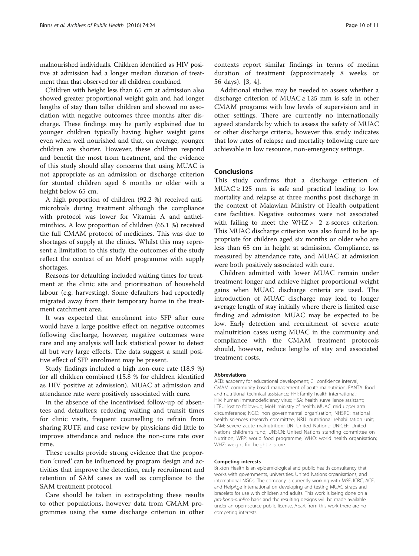malnourished individuals. Children identified as HIV positive at admission had a longer median duration of treatment than that observed for all children combined.

Children with height less than 65 cm at admission also showed greater proportional weight gain and had longer lengths of stay than taller children and showed no association with negative outcomes three months after discharge. These findings may be partly explained due to younger children typically having higher weight gains even when well nourished and that, on average, younger children are shorter. However, these children respond and benefit the most from treatment, and the evidence of this study should allay concerns that using MUAC is not appropriate as an admission or discharge criterion for stunted children aged 6 months or older with a height below 65 cm.

A high proportion of children (92.2 %) received antimicrobials during treatment although the compliance with protocol was lower for Vitamin A and anthelminthics. A low proportion of children (65.1 %) received the full CMAM protocol of medicines. This was due to shortages of supply at the clinics. Whilst this may represent a limitation to this study, the outcomes of the study reflect the context of an MoH programme with supply shortages.

Reasons for defaulting included waiting times for treatment at the clinic site and prioritisation of household labour (e.g. harvesting). Some defaulters had reportedly migrated away from their temporary home in the treatment catchment area.

It was expected that enrolment into SFP after cure would have a large positive effect on negative outcomes following discharge, however, negative outcomes were rare and any analysis will lack statistical power to detect all but very large effects. The data suggest a small positive effect of SFP enrolment may be present.

Study findings included a high non-cure rate (18.9 %) for all children combined (15.8 % for children identified as HIV positive at admission). MUAC at admission and attendance rate were positively associated with cure.

In the absence of the incentivised follow-up of absentees and defaulters; reducing waiting and transit times for clinic visits, frequent counselling to refrain from sharing RUTF, and case review by physicians did little to improve attendance and reduce the non-cure rate over time.

These results provide strong evidence that the proportion 'cured' can be influenced by program design and activities that improve the detection, early recruitment and retention of SAM cases as well as compliance to the SAM treatment protocol.

Care should be taken in extrapolating these results to other populations, however data from CMAM programmes using the same discharge criterion in other contexts report similar findings in terms of median duration of treatment (approximately 8 weeks or 56 days). [\[3](#page-10-0), [4\]](#page-10-0).

Additional studies may be needed to assess whether a discharge criterion of MUAC  $\ge$  125 mm is safe in other CMAM programs with low levels of supervision and in other settings. There are currently no internationally agreed standards by which to assess the safety of MUAC or other discharge criteria, however this study indicates that low rates of relapse and mortality following cure are achievable in low resource, non-emergency settings.

#### Conclusions

This study confirms that a discharge criterion of  $MUAC \ge 125$  mm is safe and practical leading to low mortality and relapse at three months post discharge in the context of Malawian Ministry of Health outpatient care facilities. Negative outcomes were not associated with failing to meet the WHZ > -2 z-scores criterion. This MUAC discharge criterion was also found to be appropriate for children aged six months or older who are less than 65 cm in height at admission. Compliance, as measured by attendance rate, and MUAC at admission were both positively associated with cure.

Children admitted with lower MUAC remain under treatment longer and achieve higher proportional weight gains when MUAC discharge criteria are used. The introduction of MUAC discharge may lead to longer average length of stay initially where there is limited case finding and admission MUAC may be expected to be low. Early detection and recruitment of severe acute malnutrition cases using MUAC in the community and compliance with the CMAM treatment protocols should, however, reduce lengths of stay and associated treatment costs.

#### Abbreviations

AED: academy for educational development; CI: confidence interval; CMAM: community based management of acute malnutrition; FANTA: food and nutritional technical assistance; FHI: family health international; HIV: human immunodeficiency virus; HSA: health surveillance assistant; LTFU: lost to follow-up; MoH: ministry of health; MUAC: mid upper arm circumference; NGO: non governmental organisation; NHSRC: national health sciences research committee; NRU: nutritional rehabilitation unit; SAM: severe acute malnutrition; UN: United Nations; UNICEF: United Nations children's fund; UNSCN: United Nations standing committee on Nutrition; WFP: world food programme; WHO: world health organisation; WHZ: weight for height z score.

#### Competing interests

Brixton Health is an epidemiological and public health consultancy that works with governments, universities, United Nations organisations, and international NGOs. The company is currently working with MSF, ICRC, ACF, and HelpAge International on developing and testing MUAC straps and bracelets for use with children and adults. This work is being done on a pro-bono-publico basis and the resulting designs will be made available under an open-source public license. Apart from this work there are no competing interests.